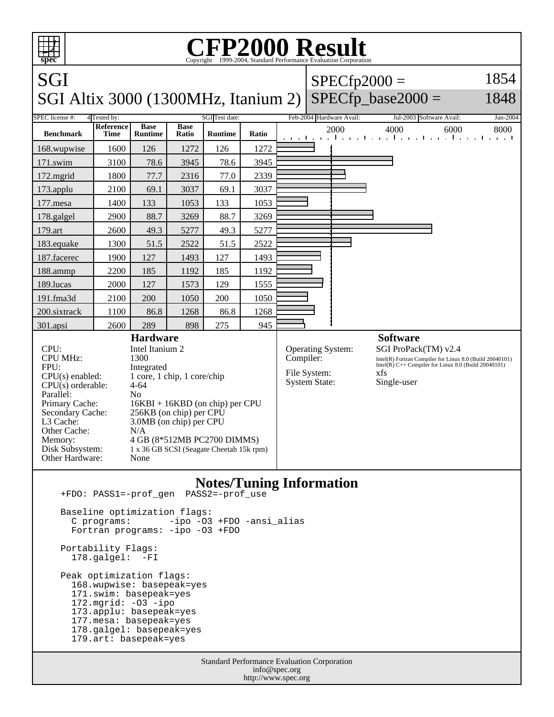

Baseline optimization flags:

 C programs: -ipo -O3 +FDO -ansi\_alias Fortran programs: -ipo -O3 +FDO Portability Flags:

178.galgel: -FI

 Peak optimization flags: 168.wupwise: basepeak=yes 171.swim: basepeak=yes 172.mgrid: -O3 -ipo 173.applu: basepeak=yes 177.mesa: basepeak=yes 178.galgel: basepeak=yes 179.art: basepeak=yes

> Standard Performance Evaluation Corporation info@spec.org http://www.spec.org